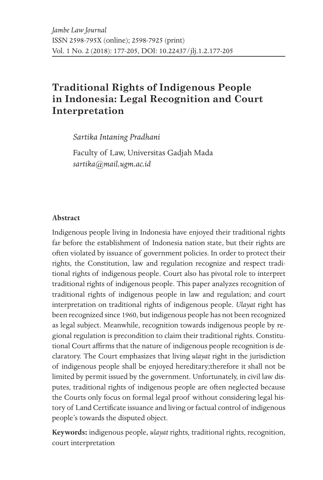# **Traditional Rights of Indigenous People in Indonesia: Legal Recognition and Court Interpretation**

*Sartika Intaning Pradhani*

Faculty of Law, Universitas Gadjah Mada *sartika@mail.ugm.ac.id*

#### **Abstract**

Indigenous people living in Indonesia have enjoyed their traditional rights far before the establishment of Indonesia nation state, but their rights are often violated by issuance of government policies. In order to protect their rights, the Constitution, law and regulation recognize and respect traditional rights of indigenous people. Court also has pivotal role to interpret traditional rights of indigenous people. This paper analyzes recognition of traditional rights of indigenous people in law and regulation; and court interpretation on traditional rights of indigenous people. *Ulayat* right has been recognized since 1960, but indigenous people has not been recognized as legal subject. Meanwhile, recognition towards indigenous people by regional regulation is precondition to claim their traditional rights. Constitutional Court affirms that the nature of indigenous people recognition is declaratory. The Court emphasizes that living *ulayat* right in the jurisdiction of indigenous people shall be enjoyed hereditary;therefore it shall not be limited by permit issued by the government. Unfortunately, in civil law disputes, traditional rights of indigenous people are often neglected because the Courts only focus on formal legal proof without considering legal history of Land Certificate issuance and living or factual control of indigenous people's towards the disputed object.

**Keywords:** indigenous people, *ulayat* rights, traditional rights, recognition, court interpretation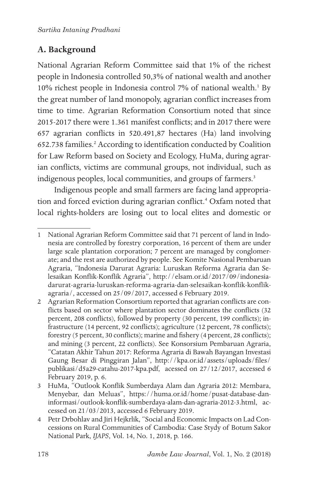# **A. Background**

National Agrarian Reform Committee said that 1% of the richest people in Indonesia controlled 50,3% of national wealth and another 10% richest people in Indonesia control 7% of national wealth.<sup>1</sup> By the great number of land monopoly, agrarian conflict increases from time to time. Agrarian Reformation Consortium noted that since 2015-2017 there were 1.361 manifest conflicts; and in 2017 there were 657 agrarian conflicts in 520.491,87 hectares (Ha) land involving 652.738 families.<sup>2</sup> According to identification conducted by Coalition for Law Reform based on Society and Ecology, HuMa, during agrarian conflicts, victims are communal groups, not individual, such as indigenous peoples, local communities, and groups of farmers.<sup>3</sup>

Indigenous people and small farmers are facing land appropriation and forced eviction during agrarian conflict.<sup>4</sup> Oxfam noted that local rights-holders are losing out to local elites and domestic or

<sup>1</sup> National Agrarian Reform Committee said that 71 percent of land in Indonesia are controlled by forestry corporation, 16 percent of them are under large scale plantation corporation; 7 percent are managed by conglomerate; and the rest are authorized by people. See Komite Nasional Pembaruan Agraria, "Indonesia Darurat Agraria: Luruskan Reforma Agraria dan Selesaikan Konflik-Konflik Agraria", http://elsam.or.id/2017/09/indonesiadarurat-agraria-luruskan-reforma-agraria-dan-selesaikan-konflik-konflikagraria/, accessed on 25/09/2017, accessed 6 February 2019.

<sup>2</sup> Agrarian Reformation Consortium reported that agrarian conflicts are conflicts based on sector where plantation sector dominates the conflicts (32 percent, 208 conflicts), followed by property (30 percent, 199 conflicts); infrastructure (14 percent, 92 conflicts); agriculture (12 percent, 78 conflicts); forestry (5 percent, 30 conflicts); marine and fishery (4 percent, 28 conflicts); and mining (3 percent, 22 conflicts). See Konsorsium Pembaruan Agraria, "Catatan Akhir Tahun 2017: Reforma Agraria di Bawah Bayangan Investasi Gaung Besar di Pinggiran Jalan", http://kpa.or.id/assets/uploads/files/ publikasi/d5a29-catahu-2017-kpa.pdf, acessed on 27/12/2017, accessed 6 February 2019, p. 6.

<sup>3</sup> HuMa, "Outlook Konflik Sumberdaya Alam dan Agraria 2012: Membara, Menyebar, dan Meluas", https://huma.or.id/home/pusat-database-daninformasi/outlook-konflik-sumberdaya-alam-dan-agraria-2012-3.html, accessed on 21/03/2013, accessed 6 February 2019.

<sup>4</sup> Petr Drbohlav and Jiri Hejkrlik, "Social and Economic Impacts on Lad Concessions on Rural Communities of Cambodia: Case Stydy of Botum Sakor National Park, *IJAPS*, Vol. 14, No. 1, 2018, p. 166.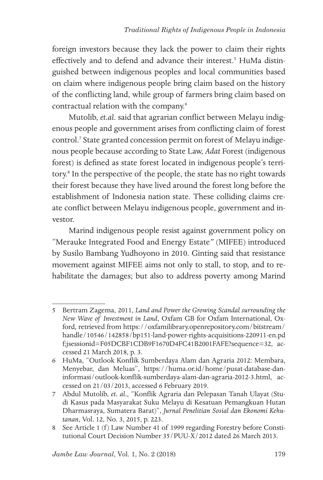foreign investors because they lack the power to claim their rights effectively and to defend and advance their interest.<sup>5</sup> HuMa distinguished between indigenous peoples and local communities based on claim where indigenous people bring claim based on the history of the conflicting land, while group of farmers bring claim based on contractual relation with the company.6

Mutolib, *et.al*. said that agrarian conflict between Melayu indigenous people and government arises from conflicting claim of forest control.<sup>7</sup> State granted concession permit on forest of Melayu indigenous people because according to State Law, *Adat* Forest (indigenous forest) is defined as state forest located in indigenous people's territory.<sup>8</sup> In the perspective of the people, the state has no right towards their forest because they have lived around the forest long before the establishment of Indonesia nation state. These colliding claims create conflict between Melayu indigenous people, government and investor.

Marind indigenous people resist against government policy on "Merauke Integrated Food and Energy Estate*"* (MIFEE) introduced by Susilo Bambang Yudhoyono in 2010. Ginting said that resistance movement against MIFEE aims not only to stall, to stop, and to rehabilitate the damages; but also to address poverty among Marind

<sup>5</sup> Bertram Zagema, 2011, *Land and Power the Growing Scandal surrounding the New Wave of Investment in Land*, Oxfam GB for Oxfam International, Oxford, retrieved from https://oxfamilibrary.openrepository.com/bitstream/ handle/10546/142858/bp151-land-power-rights-acquisitions-220911-en.pd f;jsessionid=F05DCBF1CDB9F1670D4FC41B2001FAFE?sequence=32, accessed 21 March 2018, p. 3.

<sup>6</sup> HuMa, "Outlook Konflik Sumberdaya Alam dan Agraria 2012: Membara, Menyebar, dan Meluas", https://huma.or.id/home/pusat-database-daninformasi/outlook-konflik-sumberdaya-alam-dan-agraria-2012-3.html, accessed on 21/03/2013, accessed 6 February 2019.

<sup>7</sup> Abdul Mutolib, *et. al*., "Konflik Agraria dan Pelepasan Tanah Ulayat (Studi Kasus pada Masyarakat Suku Melayu di Kesatuan Pemangkuan Hutan Dharmasraya, Sumatera Barat)", *Jurnal Penelitian Sosial dan Ekonomi Kehutanan*, Vol. 12, No. 3, 2015, p. 223.

<sup>8</sup> See Article 1 (f) Law Number 41 of 1999 regarding Forestry before Constitutional Court Decision Number 35/PUU-X/2012 dated 26 March 2013.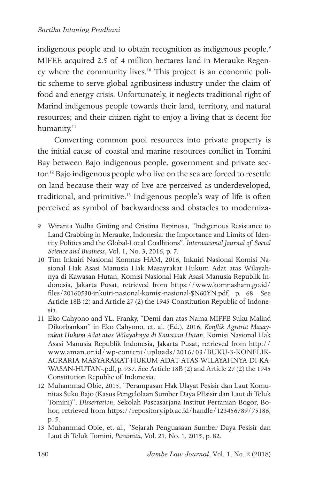#### *Sartika Intaning Pradhani*

indigenous people and to obtain recognition as indigenous people.<sup>9</sup> MIFEE acquired 2.5 of 4 million hectares land in Merauke Regency where the community lives.10 This project is an economic politic scheme to serve global agribusiness industry under the claim of food and energy crisis. Unfortunately, it neglects traditional right of Marind indigenous people towards their land, territory, and natural resources; and their citizen right to enjoy a living that is decent for humanity.<sup>11</sup>

Converting common pool resources into private property is the initial cause of coastal and marine resources conflict in Tomini Bay between Bajo indigenous people, government and private sector.12 Bajo indigenous people who live on the sea are forced to resettle on land because their way of live are perceived as underdeveloped, traditional, and primitive.<sup>13</sup> Indigenous people's way of life is often perceived as symbol of backwardness and obstacles to moderniza-

<sup>9</sup> Wiranta Yudha Ginting and Cristina Espinosa, "Indigenous Resistance to Land Grabbing in Merauke, Indonesia: the Importance and Limits of Identity Politics and the Global-Local Coallitions", *International Journal of Social Science and Business*, Vol. 1, No. 3, 2016, p. 7.

<sup>10</sup> Tim Inkuiri Nasional Komnas HAM, 2016, Inkuiri Nasional Komisi Nasional Hak Asasi Manusia Hak Masayrakat Hukum Adat atas Wilayahnya di Kawasan Hutan, Komisi Nasional Hak Asasi Manusia Republik Indonesia, Jakarta Pusat, retrieved from https://www.komnasham.go.id/ files/20160530-inkuiri-nasional-komisi-nasional-\$N60YN.pdf, p. 68. See Article 18B (2) and Article 27 (2) the 1945 Constitution Republic of Indonesia.

<sup>11</sup> Eko Cahyono and YL. Franky, "Demi dan atas Nama MIFFE Suku Malind Dikorbankan" in Eko Cahyono, et. al. (Ed.), 2016, *Konflik Agraria Masayrakat Hukum Adat atas Wilayahnya di Kawasan Hutan*, Komisi Nasional Hak Asasi Manusia Republik Indonesia, Jakarta Pusat, retrieved from http:// www.aman.or.id/wp-content/uploads/2016/03/BUKU-3-KONFLIK-AGRARIA-MASYARAKAT-HUKUM-ADAT-ATAS-WILAYAHNYA-DI-KA-WASAN-HUTAN-.pdf, p. 937. See Article 18B (2) and Article 27 (2) the 1945 Constitution Republic of Indonesia.

<sup>12</sup> Muhammad Obie, 2015, "Perampasan Hak Ulayat Pesisir dan Laut Komunitas Suku Bajo (Kasus Pengelolaan Sumber Daya PEsisir dan Laut di Teluk Tomini)", *Dissertation*, Sekolah Pascasarjana Institut Pertanian Bogor, Bohor, retrieved from https://repository.ipb.ac.id/handle/123456789/75186, p. 5.

<sup>13</sup> Muhammad Obie, et. al., "Sejarah Penguasaan Sumber Daya Pesisir dan Laut di Teluk Tomini, *Paramita*, Vol. 21, No. 1, 2015, p. 82.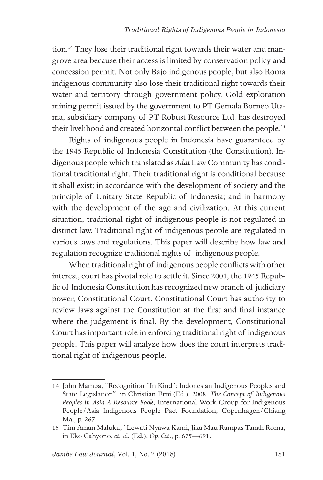tion.<sup>14</sup> They lose their traditional right towards their water and mangrove area because their access is limited by conservation policy and concession permit. Not only Bajo indigenous people, but also Roma indigenous community also lose their traditional right towards their water and territory through government policy. Gold exploration mining permit issued by the government to PT Gemala Borneo Utama, subsidiary company of PT Robust Resource Ltd. has destroyed their livelihood and created horizontal conflict between the people.<sup>15</sup>

Rights of indigenous people in Indonesia have guaranteed by the 1945 Republic of Indonesia Constitution (the Constitution). Indigenous people which translated as *Adat* Law Community has conditional traditional right. Their traditional right is conditional because it shall exist; in accordance with the development of society and the principle of Unitary State Republic of Indonesia; and in harmony with the development of the age and civilization. At this current situation, traditional right of indigenous people is not regulated in distinct law. Traditional right of indigenous people are regulated in various laws and regulations. This paper will describe how law and regulation recognize traditional rights of indigenous people.

When traditional right of indigenous people conflicts with other interest, court has pivotal role to settle it. Since 2001, the 1945 Republic of Indonesia Constitution has recognized new branch of judiciary power, Constitutional Court. Constitutional Court has authority to review laws against the Constitution at the first and final instance where the judgement is final. By the development, Constitutional Court has important role in enforcing traditional right of indigenous people. This paper will analyze how does the court interprets traditional right of indigenous people.

<sup>14</sup> John Mamba, "Recognition "In Kind": Indonesian Indigenous Peoples and State Legislation", in Christian Erni (Ed.), 2008, *The Concept of Indigenous Peoples in Asia A Resource Book*, International Work Group for Indigenous People/Asia Indigenous People Pact Foundation, Copenhagen/Chiang Mai, p. 267.

<sup>15</sup> Tim Aman Maluku, "Lewati Nyawa Kami, Jika Mau Rampas Tanah Roma, in Eko Cahyono, *et. al*. (Ed.), *Op. Cit*., p. 675—691.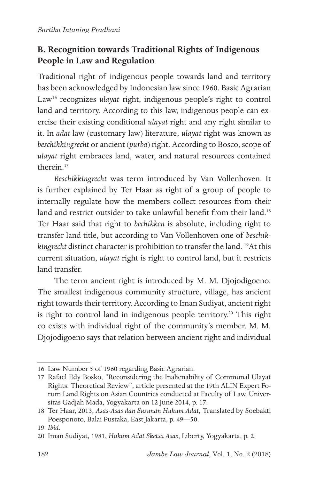## **B. Recognition towards Traditional Rights of Indigenous People in Law and Regulation**

Traditional right of indigenous people towards land and territory has been acknowledged by Indonesian law since 1960. Basic Agrarian Law<sup>16</sup> recognizes *ulayat* right, indigenous people's right to control land and territory. According to this law, indigenous people can exercise their existing conditional *ulayat* right and any right similar to it. In *adat* law (customary law) literature, *ulayat* right was known as *beschikkingrecht* or ancient (*purba*) right. According to Bosco, scope of *ulayat* right embraces land, water, and natural resources contained therein.17

*Beschikkingrecht* was term introduced by Van Vollenhoven. It is further explained by Ter Haar as right of a group of people to internally regulate how the members collect resources from their land and restrict outsider to take unlawful benefit from their land.<sup>18</sup> Ter Haar said that right to *bechikken* is absolute, including right to transfer land title, but according to Van Vollenhoven one of *beschikkingrecht* distinct character is prohibition to transfer the land. 19At this current situation, *ulayat* right is right to control land, but it restricts land transfer.

The term ancient right is introduced by M. M. Djojodigoeno. The smallest indigenous community structure, village, has ancient right towards their territory. According to Iman Sudiyat, ancient right is right to control land in indigenous people territory.<sup>20</sup> This right co exists with individual right of the community's member. M. M. Djojodigoeno says that relation between ancient right and individual

<sup>16</sup> Law Number 5 of 1960 regarding Basic Agrarian.

<sup>17</sup> Rafael Edy Bosko, "Reconsidering the Inalienability of Communal Ulayat Rights: Theoretical Review", article presented at the 19th ALIN Expert Forum Land Rights on Asian Countries conducted at Faculty of Law, Universitas Gadjah Mada, Yogyakarta on 12 June 2014, p. 17.

<sup>18</sup> Ter Haar, 2013, *Asas-Asas dan Susunan Hukum Adat*, Translated by Soebakti Poesponoto, Balai Pustaka, East Jakarta, p. 49—50.

<sup>19</sup> *Ibid*.

<sup>20</sup> Iman Sudiyat, 1981, *Hukum Adat Sketsa Asas*, Liberty, Yogyakarta, p. 2.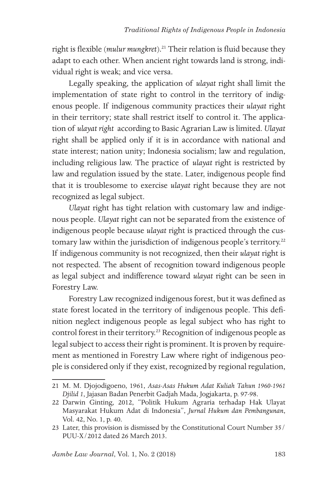right is flexible (*mulur mungkret*).<sup>21</sup> Their relation is fluid because they adapt to each other. When ancient right towards land is strong, individual right is weak; and vice versa.

Legally speaking, the application of *ulayat* right shall limit the implementation of state right to control in the territory of indigenous people. If indigenous community practices their *ulayat* right in their territory; state shall restrict itself to control it. The application of *ulayat right* according to Basic Agrarian Law is limited. *Ulayat*  right shall be applied only if it is in accordance with national and state interest; nation unity; Indonesia socialism; law and regulation, including religious law. The practice of *ulayat* right is restricted by law and regulation issued by the state. Later, indigenous people find that it is troublesome to exercise *ulayat* right because they are not recognized as legal subject.

*Ulayat* right has tight relation with customary law and indigenous people. *Ulayat* right can not be separated from the existence of indigenous people because *ulayat* right is practiced through the customary law within the jurisdiction of indigenous people's territory.<sup>22</sup> If indigenous community is not recognized, then their *ulayat* right is not respected. The absent of recognition toward indigenous people as legal subject and indifference toward *ulayat* right can be seen in Forestry Law.

Forestry Law recognized indigenous forest, but it was defined as state forest located in the territory of indigenous people. This definition neglect indigenous people as legal subject who has right to control forest in their territory.<sup>23</sup> Recognition of indigenous people as legal subject to access their right is prominent. It is proven by requirement as mentioned in Forestry Law where right of indigenous people is considered only if they exist, recognized by regional regulation,

<sup>21</sup> M. M. Djojodigoeno, 1961, *Asas-Asas Hukum Adat Kuliah Tahun 1960-1961 Djilid 1*, Jajasan Badan Penerbit Gadjah Mada, Jogjakarta, p. 97-98.

<sup>22</sup> Darwin Ginting, 2012, "Politik Hukum Agraria terhadap Hak Ulayat Masyarakat Hukum Adat di Indonesia", *Jurnal Hukum dan Pembangunan*, Vol. 42, No. 1, p. 40.

<sup>23</sup> Later, this provision is dismissed by the Constitutional Court Number 35/ PUU-X/2012 dated 26 March 2013.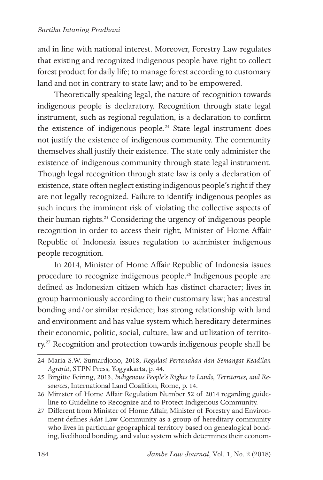#### *Sartika Intaning Pradhani*

and in line with national interest. Moreover, Forestry Law regulates that existing and recognized indigenous people have right to collect forest product for daily life; to manage forest according to customary land and not in contrary to state law; and to be empowered.

Theoretically speaking legal, the nature of recognition towards indigenous people is declaratory. Recognition through state legal instrument, such as regional regulation, is a declaration to confirm the existence of indigenous people.<sup>24</sup> State legal instrument does not justify the existence of indigenous community. The community themselves shall justify their existence. The state only administer the existence of indigenous community through state legal instrument. Though legal recognition through state law is only a declaration of existence, state often neglect existing indigenous people's right if they are not legally recognized. Failure to identify indigenous peoples as such incurs the imminent risk of violating the collective aspects of their human rights.25 Considering the urgency of indigenous people recognition in order to access their right, Minister of Home Affair Republic of Indonesia issues regulation to administer indigenous people recognition.

In 2014, Minister of Home Affair Republic of Indonesia issues procedure to recognize indigenous people.26 Indigenous people are defined as Indonesian citizen which has distinct character; lives in group harmoniously according to their customary law; has ancestral bonding and/or similar residence; has strong relationship with land and environment and has value system which hereditary determines their economic, politic, social, culture, law and utilization of territory.<sup>27</sup> Recognition and protection towards indigenous people shall be

<sup>24</sup> Maria S.W. Sumardjono, 2018, *Regulasi Pertanahan dan Semangat Keadilan Agraria*, STPN Press, Yogyakarta, p. 44.

<sup>25</sup> Birgitte Feiring, 2013, *Indigenous People's Rights to Lands, Territories, and Resources*, International Land Coalition, Rome, p. 14.

<sup>26</sup> Minister of Home Affair Regulation Number 52 of 2014 regarding guideline to Guideline to Recognize and to Protect Indigenous Community.

<sup>27</sup> Different from Minister of Home Affair, Minister of Forestry and Environment defines *Adat* Law Community as a group of hereditary community who lives in particular geographical territory based on genealogical bonding, livelihood bonding, and value system which determines their econom-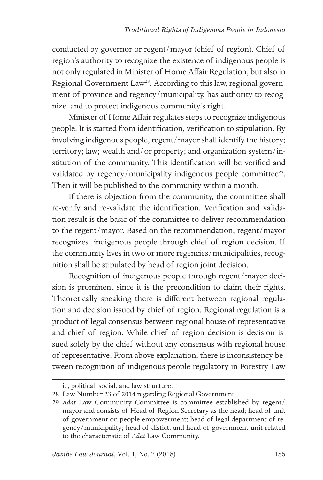conducted by governor or regent/mayor (chief of region). Chief of region's authority to recognize the existence of indigenous people is not only regulated in Minister of Home Affair Regulation, but also in Regional Government Law<sup>28</sup>. According to this law, regional government of province and regency/municipality, has authority to recognize and to protect indigenous community's right.

Minister of Home Affair regulates steps to recognize indigenous people. It is started from identification, verification to stipulation. By involving indigenous people, regent/mayor shall identify the history; territory; law; wealth and/or property; and organization system/institution of the community. This identification will be verified and validated by regency/municipality indigenous people committee<sup>29</sup>. Then it will be published to the community within a month.

If there is objection from the community, the committee shall re-verify and re-validate the identification. Verification and validation result is the basic of the committee to deliver recommendation to the regent/mayor. Based on the recommendation, regent/mayor recognizes indigenous people through chief of region decision. If the community lives in two or more regencies/municipalities, recognition shall be stipulated by head of region joint decision.

Recognition of indigenous people through regent/mayor decision is prominent since it is the precondition to claim their rights. Theoretically speaking there is different between regional regulation and decision issued by chief of region. Regional regulation is a product of legal consensus between regional house of representative and chief of region. While chief of region decision is decision issued solely by the chief without any consensus with regional house of representative. From above explanation, there is inconsistency between recognition of indigenous people regulatory in Forestry Law

ic, political, social, and law structure.

<sup>28</sup> Law Number 23 of 2014 regarding Regional Government.

<sup>29</sup> *Adat* Law Community Committee is committee established by regent/ mayor and consists of Head of Region Secretary as the head; head of unit of government on people empowerment; head of legal department of regency/municipality; head of distict; and head of government unit related to the characteristic of *Adat* Law Community.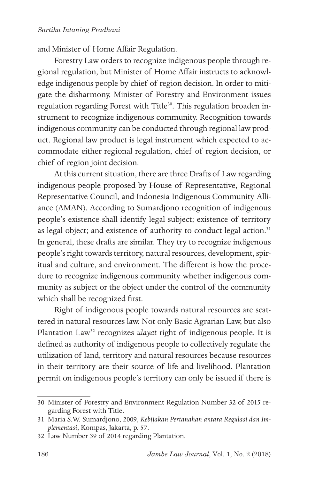and Minister of Home Affair Regulation.

Forestry Law orders to recognize indigenous people through regional regulation, but Minister of Home Affair instructs to acknowledge indigenous people by chief of region decision. In order to mitigate the disharmony, Minister of Forestry and Environment issues regulation regarding Forest with Title<sup>30</sup>. This regulation broaden instrument to recognize indigenous community. Recognition towards indigenous community can be conducted through regional law product. Regional law product is legal instrument which expected to accommodate either regional regulation, chief of region decision, or chief of region joint decision.

At this current situation, there are three Drafts of Law regarding indigenous people proposed by House of Representative, Regional Representative Council, and Indonesia Indigenous Community Alliance (AMAN). According to Sumardjono recognition of indigenous people's existence shall identify legal subject; existence of territory as legal object; and existence of authority to conduct legal action.<sup>31</sup> In general, these drafts are similar. They try to recognize indigenous people's right towards territory, natural resources, development, spiritual and culture, and environment. The different is how the procedure to recognize indigenous community whether indigenous community as subject or the object under the control of the community which shall be recognized first.

Right of indigenous people towards natural resources are scattered in natural resources law. Not only Basic Agrarian Law, but also Plantation Law<sup>32</sup> recognizes *ulayat* right of indigenous people. It is defined as authority of indigenous people to collectively regulate the utilization of land, territory and natural resources because resources in their territory are their source of life and livelihood. Plantation permit on indigenous people's territory can only be issued if there is

<sup>30</sup> Minister of Forestry and Environment Regulation Number 32 of 2015 regarding Forest with Title.

<sup>31</sup> Maria S.W. Sumardjono, 2009, *Kebijakan Pertanahan antara Regulasi dan Implementasi*, Kompas, Jakarta, p. 57.

<sup>32</sup> Law Number 39 of 2014 regarding Plantation.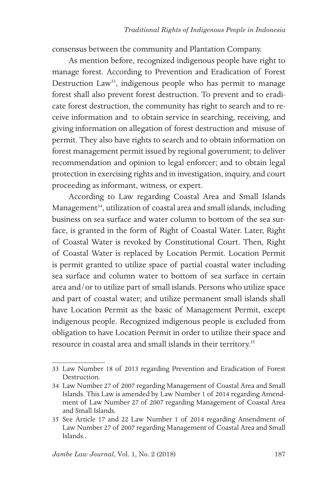consensus between the community and Plantation Company.

As mention before, recognized indigenous people have right to manage forest. According to Prevention and Eradication of Forest Destruction Law<sup>33</sup>, indigenous people who has permit to manage forest shall also prevent forest destruction. To prevent and to eradicate forest destruction, the community has right to search and to receive information and to obtain service in searching, receiving, and giving information on allegation of forest destruction and misuse of permit. They also have rights to search and to obtain information on forest management permit issued by regional government; to deliver recommendation and opinion to legal enforcer; and to obtain legal protection in exercising rights and in investigation, inquiry, and court proceeding as informant, witness, or expert.

According to Law regarding Coastal Area and Small Islands Management<sup>34</sup>, utilization of coastal area and small islands, including business on sea surface and water column to bottom of the sea surface, is granted in the form of Right of Coastal Water. Later, Right of Coastal Water is revoked by Constitutional Court. Then, Right of Coastal Water is replaced by Location Permit. Location Permit is permit granted to utilize space of partial coastal water including sea surface and column water to bottom of sea surface in certain area and/or to utilize part of small islands. Persons who utilize space and part of coastal water; and utilize permanent small islands shall have Location Permit as the basic of Management Permit, except indigenous people. Recognized indigenous people is excluded from obligation to have Location Permit in order to utilize their space and resource in coastal area and small islands in their territory.<sup>35</sup>

<sup>33</sup> Law Number 18 of 2013 regarding Prevention and Eradication of Forest Destruction.

<sup>34</sup> Law Number 27 of 2007 regarding Management of Coastal Area and Small Islands. This Law is amended by Law Number 1 of 2014 regarding Amendment of Law Number 27 of 2007 regarding Management of Coastal Area and Small Islands.

<sup>35</sup> See Article 17 and 22 Law Number 1 of 2014 regarding Amendment of Law Number 27 of 2007 regarding Management of Coastal Area and Small Islands..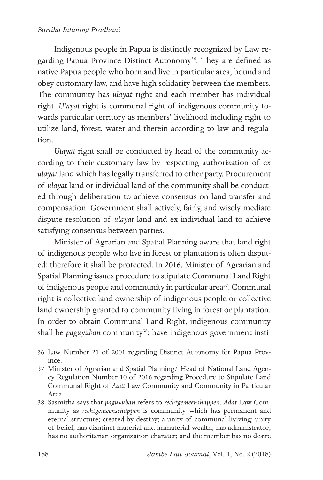#### *Sartika Intaning Pradhani*

Indigenous people in Papua is distinctly recognized by Law regarding Papua Province Distinct Autonomy<sup>36</sup>. They are defined as native Papua people who born and live in particular area, bound and obey customary law, and have high solidarity between the members. The community has *ulayat* right and each member has individual right. *Ulayat* right is communal right of indigenous community towards particular territory as members' livelihood including right to utilize land, forest, water and therein according to law and regulation.

*Ulayat* right shall be conducted by head of the community according to their customary law by respecting authorization of ex *ulayat* land which has legally transferred to other party. Procurement of *ulayat* land or individual land of the community shall be conducted through deliberation to achieve consensus on land transfer and compensation. Government shall actively, fairly, and wisely mediate dispute resolution of *ulayat* land and ex individual land to achieve satisfying consensus between parties.

Minister of Agrarian and Spatial Planning aware that land right of indigenous people who live in forest or plantation is often disputed; therefore it shall be protected. In 2016, Minister of Agrarian and Spatial Planning issues procedure to stipulate Communal Land Right of indigenous people and community in particular area<sup>37</sup>. Communal right is collective land ownership of indigenous people or collective land ownership granted to community living in forest or plantation. In order to obtain Communal Land Right, indigenous community shall be *paguyuban* community<sup>38</sup>; have indigenous government insti-

<sup>36</sup> Law Number 21 of 2001 regarding Distinct Autonomy for Papua Province.

<sup>37</sup> Minister of Agrarian and Spatial Planning/ Head of National Land Agency Regulation Number 10 of 2016 regarding Procedure to Stipulate Land Communal Right of *Adat* Law Community and Community in Particular Area.

<sup>38</sup> Sasmitha says that *paguyuban* refers to *rechtgemeenshappen*. *Adat* Law Community as *rechtgemeenschappen* is community which has permanent and eternal structure; created by destiny; a unity of communal liviving; unity of belief; has disntinct material and immaterial wealth; has administrator; has no authoritarian organization charater; and the member has no desire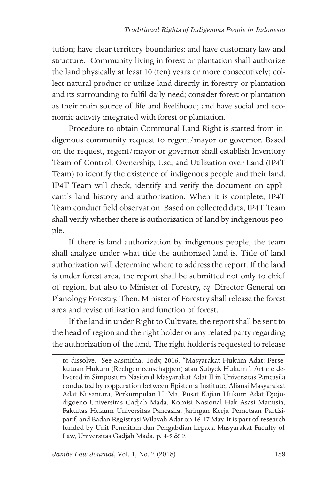tution; have clear territory boundaries; and have customary law and structure. Community living in forest or plantation shall authorize the land physically at least 10 (ten) years or more consecutively; collect natural product or utilize land directly in forestry or plantation and its surrounding to fulfil daily need; consider forest or plantation as their main source of life and livelihood; and have social and economic activity integrated with forest or plantation.

Procedure to obtain Communal Land Right is started from indigenous community request to regent/mayor or governor. Based on the request, regent/mayor or governor shall establish Inventory Team of Control, Ownership, Use, and Utilization over Land (IP4T Team) to identify the existence of indigenous people and their land. IP4T Team will check, identify and verify the document on applicant's land history and authorization. When it is complete, IP4T Team conduct field observation. Based on collected data, IP4T Team shall verify whether there is authorization of land by indigenous people.

If there is land authorization by indigenous people, the team shall analyze under what title the authorized land is. Title of land authorization will determine where to address the report. If the land is under forest area, the report shall be submitted not only to chief of region, but also to Minister of Forestry, *cq*. Director General on Planology Forestry. Then, Minister of Forestry shall release the forest area and revise utilization and function of forest.

If the land in under Right to Cultivate, the report shall be sent to the head of region and the right holder or any related party regarding the authorization of the land. The right holder is requested to release

to dissolve. See Sasmitha, Tody, 2016, "Masyarakat Hukum Adat: Persekutuan Hukum (Rechgemeenschappen) atau Subyek Hukum". Article delivered in Simposium Nasional Masyarakat Adat II in Universitas Pancasila conducted by copperation between Epistema Institute, Aliansi Masyarakat Adat Nusantara, Perkumpulan HuMa, Pusat Kajian Hukum Adat Djojodigoeno Universitas Gadjah Mada, Komisi Nasional Hak Asasi Manusia, Fakultas Hukum Universitas Pancasila, Jaringan Kerja Pemetaan Partisipatif, and Badan Registrasi Wilayah Adat on 16-17 May. It is part of research funded by Unit Penelitian dan Pengabdian kepada Masyarakat Faculty of Law, Universitas Gadjah Mada, p. 4-5 & 9.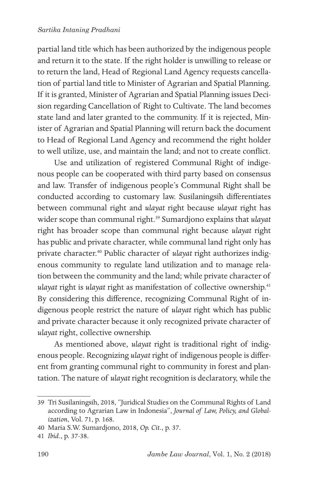#### *Sartika Intaning Pradhani*

partial land title which has been authorized by the indigenous people and return it to the state. If the right holder is unwilling to release or to return the land, Head of Regional Land Agency requests cancellation of partial land title to Minister of Agrarian and Spatial Planning. If it is granted, Minister of Agrarian and Spatial Planning issues Decision regarding Cancellation of Right to Cultivate. The land becomes state land and later granted to the community. If it is rejected, Minister of Agrarian and Spatial Planning will return back the document to Head of Regional Land Agency and recommend the right holder to well utilize, use, and maintain the land; and not to create conflict.

Use and utilization of registered Communal Right of indigenous people can be cooperated with third party based on consensus and law. Transfer of indigenous people's Communal Right shall be conducted according to customary law. Susilaningsih differentiates between communal right and *ulayat* right because *ulayat* right has wider scope than communal right.<sup>39</sup> Sumardjono explains that *ulayat* right has broader scope than communal right because *ulayat* right has public and private character, while communal land right only has private character.40 Public character of *ulayat* right authorizes indigenous community to regulate land utilization and to manage relation between the community and the land; while private character of *ulayat* right is *ulayat* right as manifestation of collective ownership.41 By considering this difference, recognizing Communal Right of indigenous people restrict the nature of *ulayat* right which has public and private character because it only recognized private character of *ulayat* right, collective ownership.

As mentioned above, *ulayat* right is traditional right of indigenous people. Recognizing *ulayat* right of indigenous people is different from granting communal right to community in forest and plantation. The nature of *ulayat* right recognition is declaratory, while the

<sup>39</sup> Tri Susilaningsih, 2018, "Juridical Studies on the Communal Rights of Land according to Agrarian Law in Indonesia", *Journal of Law, Policy, and Globalization*, Vol. 71, p. 168.

<sup>40</sup> Maria S.W. Sumardjono, 2018, *Op. Cit*., p. 37.

<sup>41</sup> *Ibid*., p. 37-38.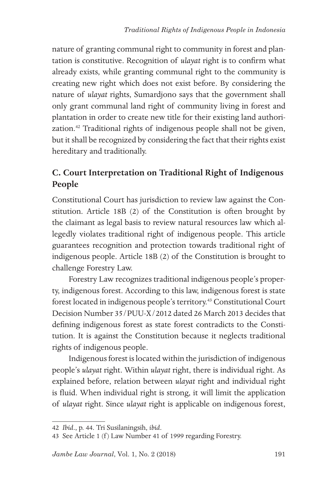nature of granting communal right to community in forest and plantation is constitutive. Recognition of *ulayat* right is to confirm what already exists, while granting communal right to the community is creating new right which does not exist before. By considering the nature of *ulayat* rights, Sumardjono says that the government shall only grant communal land right of community living in forest and plantation in order to create new title for their existing land authorization.42 Traditional rights of indigenous people shall not be given, but it shall be recognized by considering the fact that their rights exist hereditary and traditionally.

# **C. Court Interpretation on Traditional Right of Indigenous People**

Constitutional Court has jurisdiction to review law against the Constitution. Article 18B (2) of the Constitution is often brought by the claimant as legal basis to review natural resources law which allegedly violates traditional right of indigenous people. This article guarantees recognition and protection towards traditional right of indigenous people. Article 18B (2) of the Constitution is brought to challenge Forestry Law.

Forestry Law recognizes traditional indigenous people's property, indigenous forest. According to this law, indigenous forest is state forest located in indigenous people's territory.43 Constitutional Court Decision Number 35/PUU-X/2012 dated 26 March 2013 decides that defining indigenous forest as state forest contradicts to the Constitution. It is against the Constitution because it neglects traditional rights of indigenous people.

Indigenous forest is located within the jurisdiction of indigenous people's *ulayat* right. Within *ulayat* right, there is individual right. As explained before, relation between *ulayat* right and individual right is fluid. When individual right is strong, it will limit the application of *ulayat* right. Since *ulayat* right is applicable on indigenous forest,

<sup>42</sup> *Ibid*., p. 44. Tri Susilaningsih, *ibid*.

<sup>43</sup> See Article 1 (f) Law Number 41 of 1999 regarding Forestry.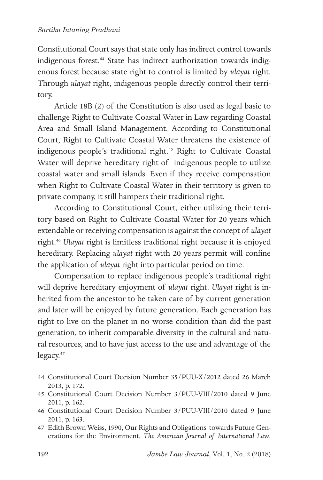Constitutional Court says that state only has indirect control towards indigenous forest.<sup>44</sup> State has indirect authorization towards indigenous forest because state right to control is limited by *ulayat* right. Through *ulayat* right, indigenous people directly control their territory.

Article 18B (2) of the Constitution is also used as legal basic to challenge Right to Cultivate Coastal Water in Law regarding Coastal Area and Small Island Management. According to Constitutional Court, Right to Cultivate Coastal Water threatens the existence of indigenous people's traditional right.<sup>45</sup> Right to Cultivate Coastal Water will deprive hereditary right of indigenous people to utilize coastal water and small islands. Even if they receive compensation when Right to Cultivate Coastal Water in their territory is given to private company, it still hampers their traditional right.

According to Constitutional Court, either utilizing their territory based on Right to Cultivate Coastal Water for 20 years which extendable or receiving compensation is against the concept of *ulayat*  right.46 *Ulayat* right is limitless traditional right because it is enjoyed hereditary. Replacing *ulayat* right with 20 years permit will confine the application of *ulayat* right into particular period on time.

Compensation to replace indigenous people's traditional right will deprive hereditary enjoyment of *ulayat* right. *Ulayat* right is inherited from the ancestor to be taken care of by current generation and later will be enjoyed by future generation. Each generation has right to live on the planet in no worse condition than did the past generation, to inherit comparable diversity in the cultural and natural resources, and to have just access to the use and advantage of the legacy.<sup>47</sup>

<sup>44</sup> Constitutional Court Decision Number 35/PUU-X/2012 dated 26 March 2013, p. 172.

<sup>45</sup> Constitutional Court Decision Number 3/PUU-VIII/2010 dated 9 June 2011, p. 162.

<sup>46</sup> Constitutional Court Decision Number 3/PUU-VIII/2010 dated 9 June 2011, p. 163.

<sup>47</sup> Edith Brown Weiss, 1990, Our Rights and Obligations towards Future Generations for the Environment, *The American Journal of International Law*,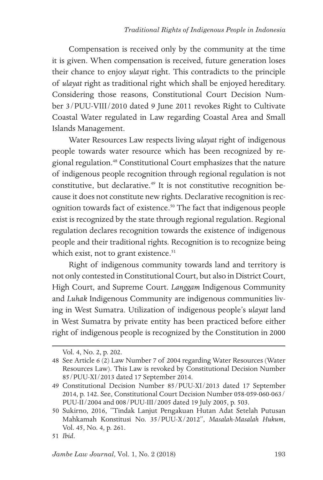Compensation is received only by the community at the time it is given. When compensation is received, future generation loses their chance to enjoy *ulayat* right. This contradicts to the principle of *ulayat* right as traditional right which shall be enjoyed hereditary. Considering those reasons, Constitutional Court Decision Number 3/PUU-VIII/2010 dated 9 June 2011 revokes Right to Cultivate Coastal Water regulated in Law regarding Coastal Area and Small Islands Management.

Water Resources Law respects living *ulayat* right of indigenous people towards water resource which has been recognized by regional regulation.48 Constitutional Court emphasizes that the nature of indigenous people recognition through regional regulation is not constitutive, but declarative.49 It is not constitutive recognition because it does not constitute new rights. Declarative recognition is recognition towards fact of existence.<sup>50</sup> The fact that indigenous people exist is recognized by the state through regional regulation. Regional regulation declares recognition towards the existence of indigenous people and their traditional rights. Recognition is to recognize being which exist, not to grant existence.<sup>51</sup>

Right of indigenous community towards land and territory is not only contested in Constitutional Court, but also in District Court, High Court, and Supreme Court. *Langgam* Indigenous Community and *Luhak* Indigenous Community are indigenous communities living in West Sumatra. Utilization of indigenous people's *ulayat* land in West Sumatra by private entity has been practiced before either right of indigenous people is recognized by the Constitution in 2000

Vol. 4, No. 2, p. 202.

<sup>48</sup> See Article 6 (2) Law Number 7 of 2004 regarding Water Resources (Water Resources Law). This Law is revoked by Constitutional Decision Number 85/PUU-XI/2013 dated 17 September 2014.

<sup>49</sup> Constitutional Decision Number 85/PUU-XI/2013 dated 17 September 2014, p. 142. See, Constitutional Court Decision Number 058-059-060-063/ PUU-II/2004 and 008/PUU-III/2005 dated 19 July 2005, p. 503.

<sup>50</sup> Sukirno, 2016, "Tindak Lanjut Pengakuan Hutan Adat Setelah Putusan Mahkamah Konstitusi No. 35/PUU-X/2012", *Masalah-Masalah Hukum*, Vol. 45, No. 4, p. 261.

<sup>51</sup> *Ibid*.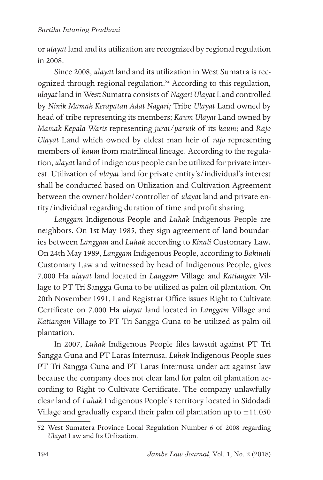or *ulayat* land and its utilization are recognized by regional regulation in 2008.

Since 2008, *ulayat* land and its utilization in West Sumatra is recognized through regional regulation.<sup>52</sup> According to this regulation, *ulayat* land in West Sumatra consists of *Nagari Ulayat* Land controlled by *Ninik Mamak Kerapatan Adat Nagari;* Tribe *Ulayat* Land owned by head of tribe representing its members; *Kaum Ulayat* Land owned by *Mamak Kepala Waris* representing *jurai/paruik* of its *kaum;* and *Rajo Ulayat* Land which owned by eldest man heir of *rajo* representing members of *kaum* from matrilineal lineage. According to the regulation, *ulayat* land of indigenous people can be utilized for private interest. Utilization of *ulayat* land for private entity's/individual's interest shall be conducted based on Utilization and Cultivation Agreement between the owner/holder/controller of *ulayat* land and private entity/individual regarding duration of time and profit sharing.

*Langgam* Indigenous People and *Luhak* Indigenous People are neighbors. On 1st May 1985, they sign agreement of land boundaries between *Langgam* and *Luhak* according to *Kinali* Customary Law*.*  On 24th May 1989, *Langgam* Indigenous People, according to *Bakinali*  Customary Law and witnessed by head of Indigenous People, gives 7.000 Ha *ulayat* land located in *Langgam* Village and *Katiangan* Village to PT Tri Sangga Guna to be utilized as palm oil plantation. On 20th November 1991, Land Registrar Office issues Right to Cultivate Certificate on 7.000 Ha *ulayat* land located in *Langgam* Village and *Katiangan* Village to PT Tri Sangga Guna to be utilized as palm oil plantation.

In 2007, *Luhak* Indigenous People files lawsuit against PT Tri Sangga Guna and PT Laras Internusa. *Luhak* Indigenous People sues PT Tri Sangga Guna and PT Laras Internusa under act against law because the company does not clear land for palm oil plantation according to Right to Cultivate Certificate. The company unlawfully clear land of *Luhak* Indigenous People's territory located in Sidodadi Village and gradually expand their palm oil plantation up to  $\pm 11.050$ 

<sup>52</sup> West Sumatera Province Local Regulation Number 6 of 2008 regarding *Ulayat* Law and Its Utilization.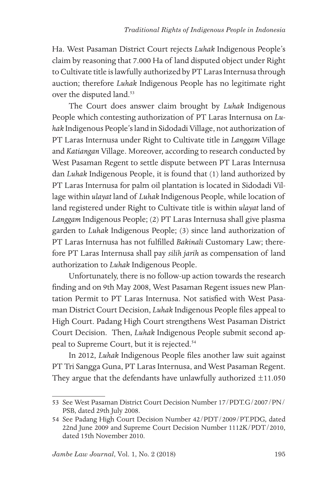Ha. West Pasaman District Court rejects *Luhak* Indigenous People's claim by reasoning that 7.000 Ha of land disputed object under Right to Cultivate title is lawfully authorized by PT Laras Internusa through auction; therefore *Luhak* Indigenous People has no legitimate right over the disputed land.<sup>53</sup>

The Court does answer claim brought by *Luhak* Indigenous People which contesting authorization of PT Laras Internusa on *Luhak* Indigenous People's land in Sidodadi Village, not authorization of PT Laras Internusa under Right to Cultivate title in *Langgam* Village and *Katiangan* Village. Moreover, according to research conducted by West Pasaman Regent to settle dispute between PT Laras Internusa dan *Luhak* Indigenous People, it is found that (1) land authorized by PT Laras Internusa for palm oil plantation is located in Sidodadi Village within *ulayat* land of *Luhak* Indigenous People, while location of land registered under Right to Cultivate title is within *ulayat* land of *Langgam* Indigenous People; (2) PT Laras Internusa shall give plasma garden to *Luhak* Indigenous People; (3) since land authorization of PT Laras Internusa has not fulfilled *Bakinali* Customary Law; therefore PT Laras Internusa shall pay *silih jarih* as compensation of land authorization to *Luhak* Indigenous People.

Unfortunately, there is no follow-up action towards the research finding and on 9th May 2008, West Pasaman Regent issues new Plantation Permit to PT Laras Internusa. Not satisfied with West Pasaman District Court Decision, *Luhak* Indigenous People files appeal to High Court. Padang High Court strengthens West Pasaman District Court Decision. Then, *Luhak* Indigenous People submit second appeal to Supreme Court, but it is rejected.54

In 2012, *Luhak* Indigenous People files another law suit against PT Tri Sangga Guna, PT Laras Internusa, and West Pasaman Regent. They argue that the defendants have unlawfully authorized  $\pm 11.050$ 

<sup>53</sup> See West Pasaman District Court Decision Number 17/PDT.G/2007/PN/ PSB, dated 29th July 2008.

<sup>54</sup> See Padang High Court Decision Number 42/PDT/2009/PT.PDG, dated 22nd June 2009 and Supreme Court Decision Number 1112K/PDT/2010, dated 15th November 2010.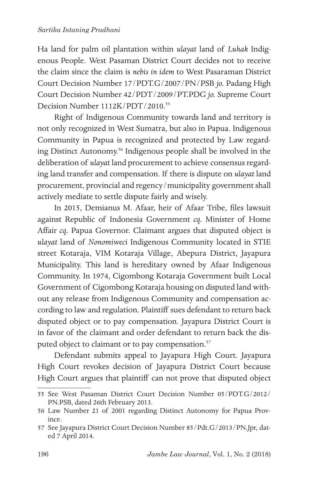Ha land for palm oil plantation within *ulayat* land of *Luhak* Indigenous People. West Pasaman District Court decides not to receive the claim since the claim is *nebis in idem* to West Pasaraman District Court Decision Number 17/PDT.G/2007/PN/PSB *jo.* Padang High Court Decision Number 42/PDT/2009/PT.PDG *jo.* Supreme Court Decision Number 1112K/PDT/2010.<sup>55</sup>

Right of Indigenous Community towards land and territory is not only recognized in West Sumatra, but also in Papua. Indigenous Community in Papua is recognized and protected by Law regarding Distinct Autonomy.56 Indigenous people shall be involved in the deliberation of *ulayat* land procurement to achieve consensus regarding land transfer and compensation. If there is dispute on *ulayat* land procurement, provincial and regency/municipality government shall actively mediate to settle dispute fairly and wisely.

In 2015, Demianus M. Afaar, heir of Afaar Tribe, files lawsuit against Republic of Indonesia Government *cq.* Minister of Home Affair *cq.* Papua Governor. Claimant argues that disputed object is *ulayat* land of *Nonomiweci* Indigenous Community located in STIE street Kotaraja, VIM Kotaraja Village, Abepura District, Jayapura Municipality. This land is hereditary owned by Afaar Indigenous Community. In 1974, Cigombong Kotaraja Government built Local Government of Cigombong Kotaraja housing on disputed land without any release from Indigenous Community and compensation according to law and regulation. Plaintiff sues defendant to return back disputed object or to pay compensation. Jayapura District Court is in favor of the claimant and order defendant to return back the disputed object to claimant or to pay compensation.<sup>57</sup>

Defendant submits appeal to Jayapura High Court. Jayapura High Court revokes decision of Jayapura District Court because High Court argues that plaintiff can not prove that disputed object

<sup>55</sup> See West Pasaman District Court Decision Number 05/PDT.G/2012/ PN.PSB, dated 26th February 2013.

<sup>56</sup> Law Number 21 of 2001 regarding Distinct Autonomy for Papua Province.

<sup>57</sup> See Jayapura District Court Decision Number 85/Pdt.G/2013/PN.Jpr, dated 7 April 2014.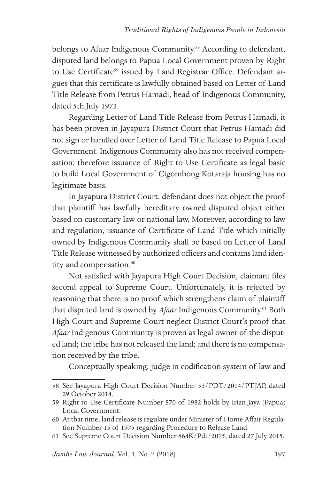belongs to Afaar Indigenous Community.<sup>58</sup> According to defendant, disputed land belongs to Papua Local Government proven by Right to Use Certificate<sup>59</sup> issued by Land Registrar Office. Defendant argues that this certificate is lawfully obtained based on Letter of Land Title Release from Petrus Hamadi, head of Indigenous Community, dated 5th July 1973.

Regarding Letter of Land Title Release from Petrus Hamadi, it has been proven in Jayapura District Court that Petrus Hamadi did not sign or handled over Letter of Land Title Release to Papua Local Government. Indigenous Community also has not received compensation; therefore issuance of Right to Use Certificate as legal basic to build Local Government of Cigombong Kotaraja housing has no legitimate basis.

In Jayapura District Court, defendant does not object the proof that plaintiff has lawfully hereditary owned disputed object either based on customary law or national law. Moreover, according to law and regulation, issuance of Certificate of Land Title which initially owned by Indigenous Community shall be based on Letter of Land Title Release witnessed by authorized officers and contains land identity and compensation.<sup>60</sup>

Not satisfied with Jayapura High Court Decision, claimant files second appeal to Supreme Court. Unfortunately, it is rejected by reasoning that there is no proof which strengthens claim of plaintiff that disputed land is owned by *Afaar* Indigenous Community.61 Both High Court and Supreme Court neglect District Court's proof that *Afaar* Indigenous Community is proven as legal owner of the disputed land; the tribe has not released the land; and there is no compensation received by the tribe.

Conceptually speaking, judge in codification system of law and

<sup>58</sup> See Jayapura High Court Decision Number 53/PDT/2014/PT.JAP, dated 29 October 2014.

<sup>59</sup> Right to Use Certificate Number 870 of 1982 holds by Irian Jaya (Papua) Local Government.

<sup>60</sup> At that time, land release is regulate under Minister of Home Affair Regulation Number 15 of 1975 regarding Procedure to Release Land.

<sup>61</sup> See Supreme Court Decision Number 864K/Pdt/2015, dated 27 July 2015.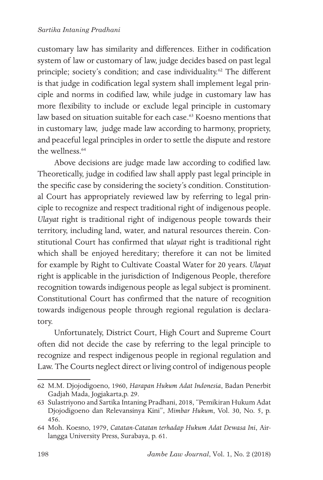customary law has similarity and differences. Either in codification system of law or customary of law, judge decides based on past legal principle; society's condition; and case individuality.<sup>62</sup> The different is that judge in codification legal system shall implement legal principle and norms in codified law, while judge in customary law has more flexibility to include or exclude legal principle in customary law based on situation suitable for each case.<sup>63</sup> Koesno mentions that in customary law, judge made law according to harmony, propriety, and peaceful legal principles in order to settle the dispute and restore the wellness.<sup>64</sup>

Above decisions are judge made law according to codified law. Theoretically, judge in codified law shall apply past legal principle in the specific case by considering the society's condition. Constitutional Court has appropriately reviewed law by referring to legal principle to recognize and respect traditional right of indigenous people. *Ulayat* right is traditional right of indigenous people towards their territory, including land, water, and natural resources therein. Constitutional Court has confirmed that *ulayat* right is traditional right which shall be enjoyed hereditary; therefore it can not be limited for example by Right to Cultivate Coastal Water for 20 years. *Ulayat*  right is applicable in the jurisdiction of Indigenous People, therefore recognition towards indigenous people as legal subject is prominent. Constitutional Court has confirmed that the nature of recognition towards indigenous people through regional regulation is declaratory.

Unfortunately, District Court, High Court and Supreme Court often did not decide the case by referring to the legal principle to recognize and respect indigenous people in regional regulation and Law. The Courts neglect direct or living control of indigenous people

<sup>62</sup> M.M. Djojodigoeno, 1960, *Harapan Hukum Adat Indonesia*, Badan Penerbit Gadjah Mada, Jogjakarta,p. 29.

<sup>63</sup> Sulastriyono and Sartika Intaning Pradhani, 2018, "Pemikiran Hukum Adat Djojodigoeno dan Relevansinya Kini", *Mimbar Hukum*, Vol. 30, No. 5, p. 456.

<sup>64</sup> Moh. Koesno, 1979, *Catatan-Catatan terhadap Hukum Adat Dewasa Ini*, Airlangga University Press, Surabaya, p. 61.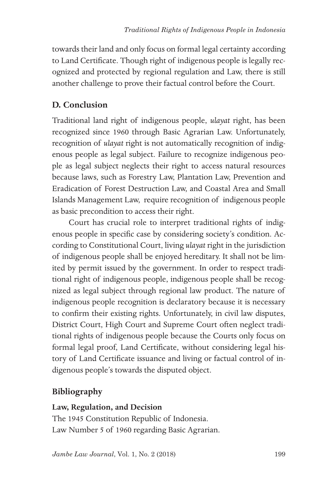towards their land and only focus on formal legal certainty according to Land Certificate. Though right of indigenous people is legally recognized and protected by regional regulation and Law, there is still another challenge to prove their factual control before the Court.

## **D. Conclusion**

Traditional land right of indigenous people, *ulayat* right, has been recognized since 1960 through Basic Agrarian Law. Unfortunately, recognition of *ulayat* right is not automatically recognition of indigenous people as legal subject. Failure to recognize indigenous people as legal subject neglects their right to access natural resources because laws, such as Forestry Law, Plantation Law, Prevention and Eradication of Forest Destruction Law, and Coastal Area and Small Islands Management Law, require recognition of indigenous people as basic precondition to access their right.

Court has crucial role to interpret traditional rights of indigenous people in specific case by considering society's condition. According to Constitutional Court, living *ulayat* right in the jurisdiction of indigenous people shall be enjoyed hereditary. It shall not be limited by permit issued by the government. In order to respect traditional right of indigenous people, indigenous people shall be recognized as legal subject through regional law product. The nature of indigenous people recognition is declaratory because it is necessary to confirm their existing rights. Unfortunately, in civil law disputes, District Court, High Court and Supreme Court often neglect traditional rights of indigenous people because the Courts only focus on formal legal proof, Land Certificate, without considering legal history of Land Certificate issuance and living or factual control of indigenous people's towards the disputed object.

# **Bibliography**

### **Law, Regulation, and Decision**

The 1945 Constitution Republic of Indonesia. Law Number 5 of 1960 regarding Basic Agrarian.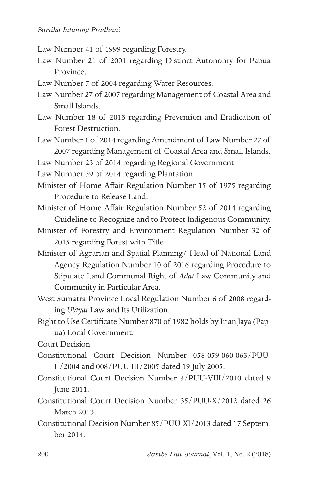- Law Number 41 of 1999 regarding Forestry.
- Law Number 21 of 2001 regarding Distinct Autonomy for Papua Province.
- Law Number 7 of 2004 regarding Water Resources.
- Law Number 27 of 2007 regarding Management of Coastal Area and Small Islands.
- Law Number 18 of 2013 regarding Prevention and Eradication of Forest Destruction.
- Law Number 1 of 2014 regarding Amendment of Law Number 27 of 2007 regarding Management of Coastal Area and Small Islands.

Law Number 23 of 2014 regarding Regional Government.

Law Number 39 of 2014 regarding Plantation.

- Minister of Home Affair Regulation Number 15 of 1975 regarding Procedure to Release Land.
- Minister of Home Affair Regulation Number 52 of 2014 regarding Guideline to Recognize and to Protect Indigenous Community.
- Minister of Forestry and Environment Regulation Number 32 of 2015 regarding Forest with Title.
- Minister of Agrarian and Spatial Planning/ Head of National Land Agency Regulation Number 10 of 2016 regarding Procedure to Stipulate Land Communal Right of *Adat* Law Community and Community in Particular Area.
- West Sumatra Province Local Regulation Number 6 of 2008 regarding *Ulayat* Law and Its Utilization.
- Right to Use Certificate Number 870 of 1982 holds by Irian Jaya (Papua) Local Government.

Court Decision

- Constitutional Court Decision Number 058-059-060-063/PUU-II/2004 and 008/PUU-III/2005 dated 19 July 2005.
- Constitutional Court Decision Number 3/PUU-VIII/2010 dated 9 June 2011.
- Constitutional Court Decision Number 35/PUU-X/2012 dated 26 March 2013.
- Constitutional Decision Number 85/PUU-XI/2013 dated 17 September 2014.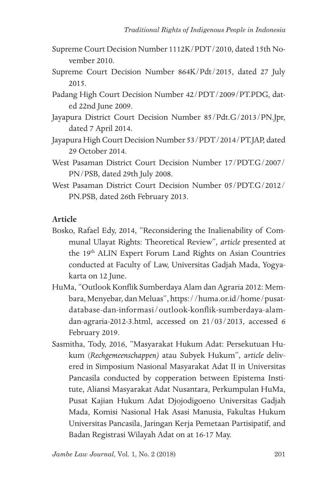- Supreme Court Decision Number 1112K/PDT/2010, dated 15th November 2010.
- Supreme Court Decision Number 864K/Pdt/2015, dated 27 July 2015.
- Padang High Court Decision Number 42/PDT/2009/PT.PDG, dated 22nd June 2009.
- Jayapura District Court Decision Number 85/Pdt.G/2013/PN.Jpr, dated 7 April 2014.
- Jayapura High Court Decision Number 53/PDT/2014/PT.JAP, dated 29 October 2014.
- West Pasaman District Court Decision Number 17/PDT.G/2007/ PN/PSB, dated 29th July 2008.
- West Pasaman District Court Decision Number 05/PDT.G/2012/ PN.PSB, dated 26th February 2013.

### **Article**

- Bosko, Rafael Edy, 2014, "Reconsidering the Inalienability of Communal Ulayat Rights: Theoretical Review"*, article* presented at the 19<sup>th</sup> ALIN Expert Forum Land Rights on Asian Countries conducted at Faculty of Law, Universitas Gadjah Mada, Yogyakarta on 12 June.
- HuMa, "Outlook Konflik Sumberdaya Alam dan Agraria 2012: Membara, Menyebar, dan Meluas", https://huma.or.id/home/pusatdatabase-dan-informasi/outlook-konflik-sumberdaya-alamdan-agraria-2012-3.html, accessed on 21/03/2013, accessed 6 February 2019.
- Sasmitha, Tody, 2016, "Masyarakat Hukum Adat: Persekutuan Hukum (*Rechgemeenschappen)* atau Subyek Hukum", a*rticle* delivered in Simposium Nasional Masyarakat Adat II in Universitas Pancasila conducted by copperation between Epistema Institute, Aliansi Masyarakat Adat Nusantara, Perkumpulan HuMa, Pusat Kajian Hukum Adat Djojodigoeno Universitas Gadjah Mada, Komisi Nasional Hak Asasi Manusia, Fakultas Hukum Universitas Pancasila, Jaringan Kerja Pemetaan Partisipatif, and Badan Registrasi Wilayah Adat on at 16-17 May.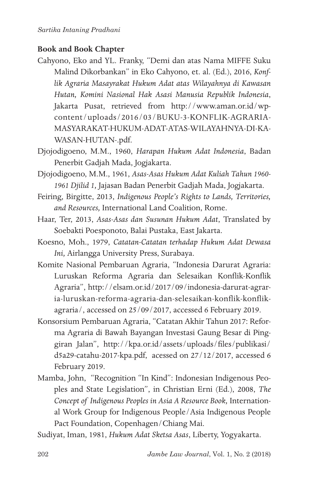### **Book and Book Chapter**

- Cahyono, Eko and YL. Franky, "Demi dan atas Nama MIFFE Suku Malind Dikorbankan" in Eko Cahyono, et. al. (Ed.), 2016, *Konflik Agraria Masayrakat Hukum Adat atas Wilayahnya di Kawasan Hutan, Komini Nasional Hak Asasi Manusia Republik Indonesia*, Jakarta Pusat, retrieved from http://www.aman.or.id/wpcontent/uploads/2016/03/BUKU-3-KONFLIK-AGRARIA-MASYARAKAT-HUKUM-ADAT-ATAS-WILAYAHNYA-DI-KA-WASAN-HUTAN-.pdf.
- Djojodigoeno, M.M., 1960, *Harapan Hukum Adat Indonesia*, Badan Penerbit Gadjah Mada, Jogjakarta.
- Djojodigoeno, M.M., 1961, *Asas-Asas Hukum Adat Kuliah Tahun 1960- 1961 Djilid 1,* Jajasan Badan Penerbit Gadjah Mada, Jogjakarta.
- Feiring, Birgitte, 2013, *Indigenous People's Rights to Lands, Territories, and Resources,* International Land Coalition, Rome.
- Haar, Ter, 2013, *Asas-Asas dan Susunan Hukum Adat*, Translated by Soebakti Poesponoto, Balai Pustaka, East Jakarta.
- Koesno, Moh., 1979, *Catatan-Catatan terhadap Hukum Adat Dewasa Ini,* Airlangga University Press, Surabaya.
- Komite Nasional Pembaruan Agraria, "Indonesia Darurat Agraria: Luruskan Reforma Agraria dan Selesaikan Konflik-Konflik Agraria", http://elsam.or.id/2017/09/indonesia-darurat-agraria-luruskan-reforma-agraria-dan-selesaikan-konflik-konflikagraria/, accessed on 25/09/2017, accessed 6 February 2019.
- Konsorsium Pembaruan Agraria, "Catatan Akhir Tahun 2017: Reforma Agraria di Bawah Bayangan Investasi Gaung Besar di Pinggiran Jalan", http://kpa.or.id/assets/uploads/files/publikasi/ d5a29-catahu-2017-kpa.pdf, acessed on 27/12/2017, accessed 6 February 2019.
- Mamba, John, "Recognition "In Kind": Indonesian Indigenous Peoples and State Legislation", in Christian Erni (Ed.), 2008, *The Concept of Indigenous Peoples in Asia A Resource Book,* International Work Group for Indigenous People/Asia Indigenous People Pact Foundation, Copenhagen/Chiang Mai.

Sudiyat, Iman, 1981, *Hukum Adat Sketsa Asas*, Liberty, Yogyakarta.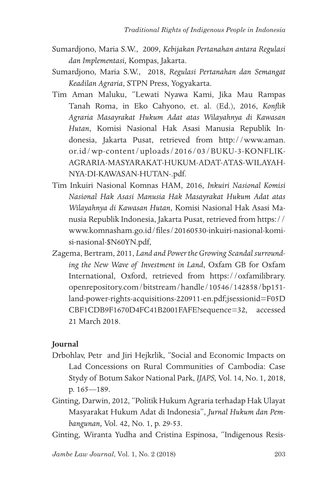- Sumardjono, Maria S.W., 2009, *Kebijakan Pertanahan antara Regulasi dan Implementasi,* Kompas, Jakarta.
- Sumardjono, Maria S.W., 2018, *Regulasi Pertanahan dan Semangat Keadilan Agraria*, STPN Press, Yogyakarta.
- Tim Aman Maluku, "Lewati Nyawa Kami, Jika Mau Rampas Tanah Roma, in Eko Cahyono, et. al. (Ed.), 2016, *Konflik Agraria Masayrakat Hukum Adat atas Wilayahnya di Kawasan Hutan*, Komisi Nasional Hak Asasi Manusia Republik Indonesia, Jakarta Pusat, retrieved from http://www.aman. or.id/wp-content/uploads/2016/03/BUKU-3-KONFLIK-AGRARIA-MASYARAKAT-HUKUM-ADAT-ATAS-WILAYAH-NYA-DI-KAWASAN-HUTAN-.pdf.
- Tim Inkuiri Nasional Komnas HAM, 2016, *Inkuiri Nasional Komisi Nasional Hak Asasi Manusia Hak Masayrakat Hukum Adat atas Wilayahnya di Kawasan Hutan*, Komisi Nasional Hak Asasi Manusia Republik Indonesia, Jakarta Pusat, retrieved from https:// www.komnasham.go.id/files/20160530-inkuiri-nasional-komisi-nasional-\$N60YN.pdf,
- Zagema, Bertram, 2011, *Land and Power the Growing Scandal surrounding the New Wave of Investment in Land*, Oxfam GB for Oxfam International, Oxford, retrieved from https://oxfamilibrary. openrepository.com/bitstream/handle/10546/142858/bp151 land-power-rights-acquisitions-220911-en.pdf;jsessionid=F05D CBF1CDB9F1670D4FC41B2001FAFE?sequence=32, accessed 21 March 2018.

### **Journal**

- Drbohlav, Petr and Jiri Hejkrlik, "Social and Economic Impacts on Lad Concessions on Rural Communities of Cambodia: Case Stydy of Botum Sakor National Park, *IJAPS,* Vol. 14, No. 1, 2018, p. 165—189.
- Ginting, Darwin, 2012, "Politik Hukum Agraria terhadap Hak Ulayat Masyarakat Hukum Adat di Indonesia", *Jurnal Hukum dan Pembangunan,* Vol. 42, No. 1, p. 29-53.
- Ginting, Wiranta Yudha and Cristina Espinosa, "Indigenous Resis-

*Jambe Law Journal*, Vol. 1, No. 2 (2018)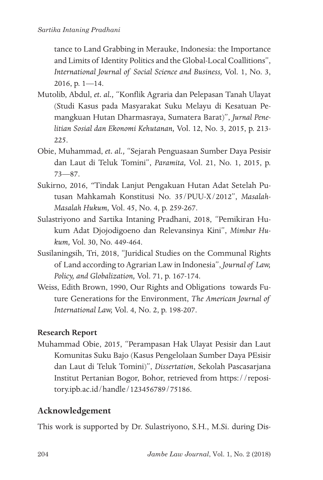tance to Land Grabbing in Merauke, Indonesia: the Importance and Limits of Identity Politics and the Global-Local Coallitions", *International Journal of Social Science and Business,* Vol. 1, No. 3, 2016, p. 1—14.

- Mutolib, Abdul, *et. al.,* "Konflik Agraria dan Pelepasan Tanah Ulayat (Studi Kasus pada Masyarakat Suku Melayu di Kesatuan Pemangkuan Hutan Dharmasraya, Sumatera Barat)", *Jurnal Penelitian Sosial dan Ekonomi Kehutanan,* Vol. 12, No. 3, 2015, p. 213- 225.
- Obie, Muhammad, *et. al.,* "Sejarah Penguasaan Sumber Daya Pesisir dan Laut di Teluk Tomini", *Paramita,* Vol. 21, No. 1, 2015, p. 73—87.
- Sukirno, 2016, *"*Tindak Lanjut Pengakuan Hutan Adat Setelah Putusan Mahkamah Konstitusi No. 35/PUU-X/2012", *Masalah-Masalah Hukum,* Vol. 45, No. 4, p. 259-267.
- Sulastriyono and Sartika Intaning Pradhani, 2018, "Pemikiran Hukum Adat Djojodigoeno dan Relevansinya Kini", *Mimbar Hukum,* Vol. 30, No. 449-464.
- Susilaningsih, Tri, 2018, "Juridical Studies on the Communal Rights of Land according to Agrarian Law in Indonesia", *Journal of Law, Policy, and Globalization,* Vol. 71, p. 167-174.
- Weiss, Edith Brown, 1990, Our Rights and Obligations towards Future Generations for the Environment, *The American Journal of International Law,* Vol. 4, No. 2, p. 198-207.

### **Research Report**

Muhammad Obie, 2015, "Perampasan Hak Ulayat Pesisir dan Laut Komunitas Suku Bajo (Kasus Pengelolaan Sumber Daya PEsisir dan Laut di Teluk Tomini)", *Dissertation*, Sekolah Pascasarjana Institut Pertanian Bogor, Bohor, retrieved from https://repository.ipb.ac.id/handle/123456789/75186.

## **Acknowledgement**

This work is supported by Dr. Sulastriyono, S.H., M.Si. during Dis-